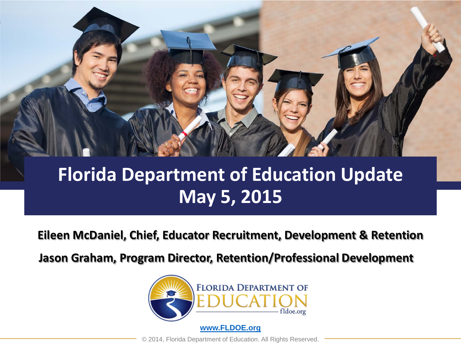

#### **Florida Department of Education Update May 5, 2015**

**Eileen McDaniel, Chief, Educator Recruitment, Development & Retention**

**Jason Graham, Program Director, Retention/Professional Development**

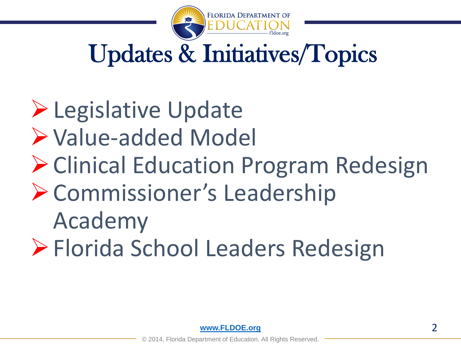

# Updates & Initiatives/Topics

# **Legislative Update** Value-added Model Clinical Education Program Redesign Commissioner's Leadership Academy Florida School Leaders Redesign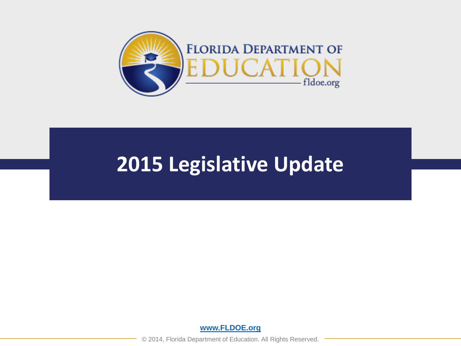

#### **2015 Legislative Update**

**[www.FLDOE.org](http://www.fldoe.org/)**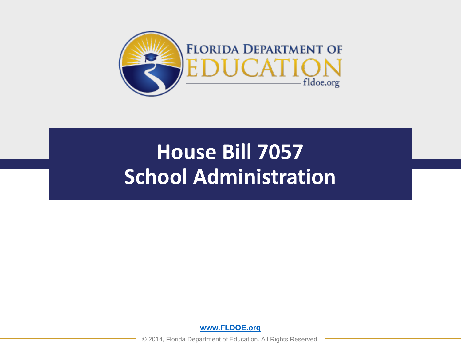

# **House Bill 7057 School Administration**

**[www.FLDOE.org](http://www.fldoe.org/)**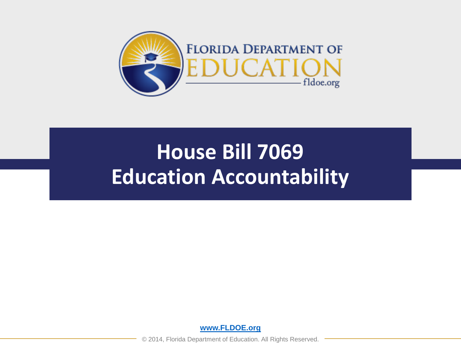

# **House Bill 7069 Education Accountability**

**[www.FLDOE.org](http://www.fldoe.org/)**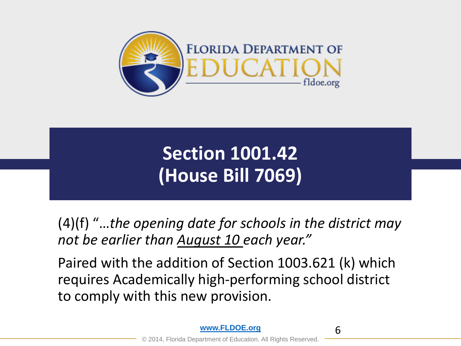

### **Section 1001.42 (House Bill 7069)**

(4)(f) "…*the opening date for schools in the district may not be earlier than August 10 each year."*

Paired with the addition of Section 1003.621 (k) which requires Academically high-performing school district to comply with this new provision.

6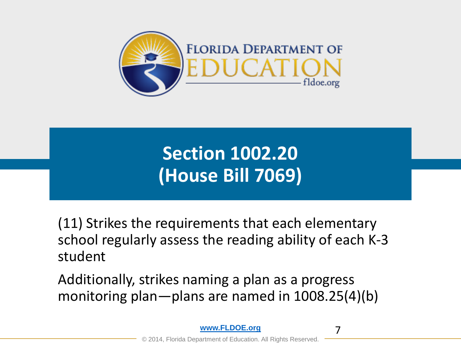

**Section 1002.20 (House Bill 7069)**

(11) Strikes the requirements that each elementary school regularly assess the reading ability of each K-3 student

Additionally, strikes naming a plan as a progress monitoring plan—plans are named in 1008.25(4)(b)

7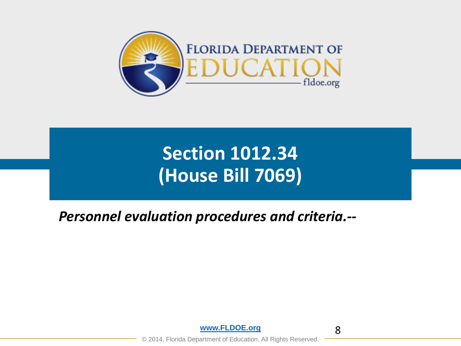

#### **Section 1012.34 (House Bill 7069)**

#### *Personnel evaluation procedures and criteria.--*



8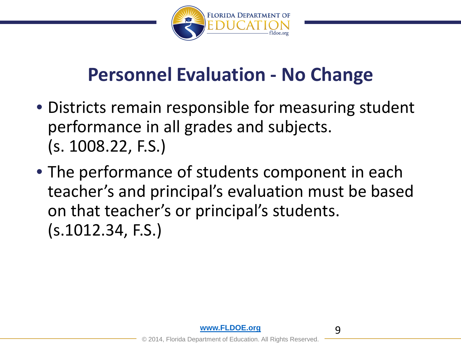

- Districts remain responsible for measuring student performance in all grades and subjects. (s. 1008.22, F.S.)
- The performance of students component in each teacher's and principal's evaluation must be based on that teacher's or principal's students. (s.1012.34, F.S.)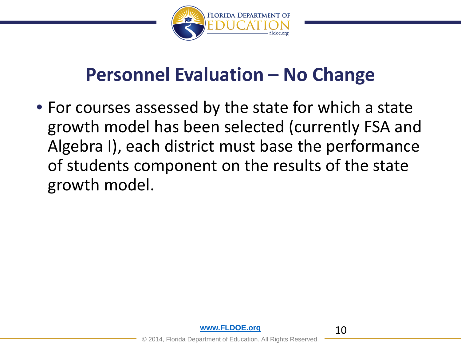

• For courses assessed by the state for which a state growth model has been selected (currently FSA and Algebra I), each district must base the performance of students component on the results of the state growth model.



10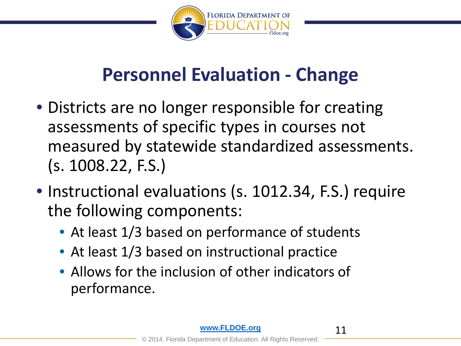

- Districts are no longer responsible for creating assessments of specific types in courses not measured by statewide standardized assessments. (s. 1008.22, F.S.)
- Instructional evaluations (s. 1012.34, F.S.) require the following components:
	- At least 1/3 based on performance of students
	- At least 1/3 based on instructional practice
	- Allows for the inclusion of other indicators of performance.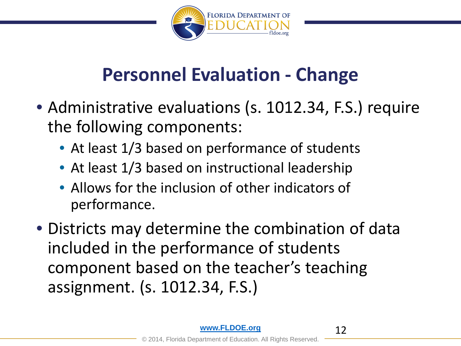

- Administrative evaluations (s. 1012.34, F.S.) require the following components:
	- At least 1/3 based on performance of students
	- At least 1/3 based on instructional leadership
	- Allows for the inclusion of other indicators of performance.
- Districts may determine the combination of data included in the performance of students component based on the teacher's teaching assignment. (s. 1012.34, F.S.)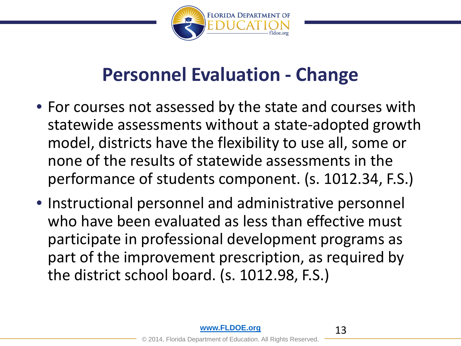

- For courses not assessed by the state and courses with statewide assessments without a state-adopted growth model, districts have the flexibility to use all, some or none of the results of statewide assessments in the performance of students component. (s. 1012.34, F.S.)
- Instructional personnel and administrative personnel who have been evaluated as less than effective must participate in professional development programs as part of the improvement prescription, as required by the district school board. (s. 1012.98, F.S.)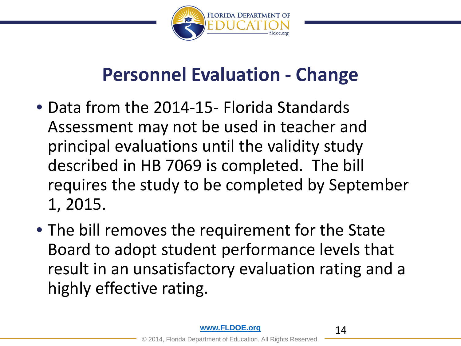

- Data from the 2014-15- Florida Standards Assessment may not be used in teacher and principal evaluations until the validity study described in HB 7069 is completed. The bill requires the study to be completed by September 1, 2015.
- The bill removes the requirement for the State Board to adopt student performance levels that result in an unsatisfactory evaluation rating and a highly effective rating.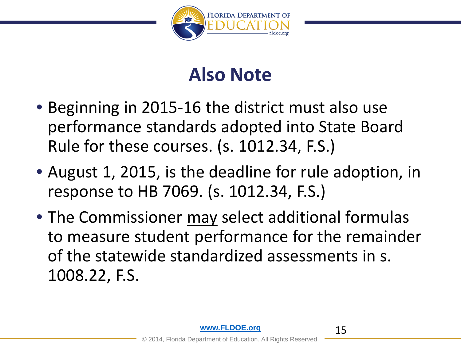

#### **Also Note**

- Beginning in 2015-16 the district must also use performance standards adopted into State Board Rule for these courses. (s. 1012.34, F.S.)
- August 1, 2015, is the deadline for rule adoption, in response to HB 7069. (s. 1012.34, F.S.)
- The Commissioner may select additional formulas to measure student performance for the remainder of the statewide standardized assessments in s. 1008.22, F.S.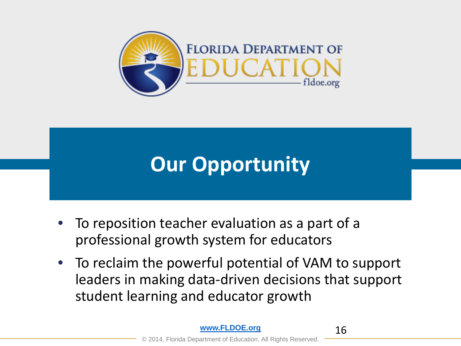

# **Our Opportunity**

- To reposition teacher evaluation as a part of a professional growth system for educators
- To reclaim the powerful potential of VAM to support leaders in making data-driven decisions that support student learning and educator growth

16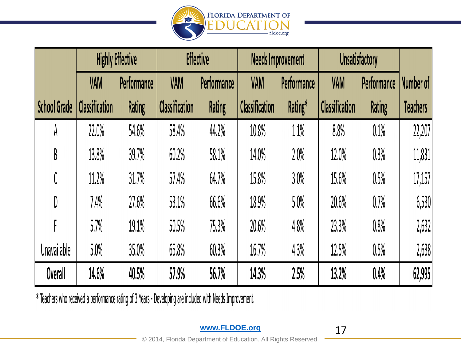

|                    | <b>Highly Effective</b> |             | <b>Effective</b>      |               | <b>Needs Improvement</b> |             | <b>Unsatisfactory</b> |             |                 |
|--------------------|-------------------------|-------------|-----------------------|---------------|--------------------------|-------------|-----------------------|-------------|-----------------|
|                    | <b>VAM</b>              | Performance | <b>VAM</b>            | Performance   | <b>VAM</b>               | Performance | <b>VAM</b>            | Performance | Number of       |
| School Grade       | <b>Classification</b>   | Rating      | <b>Classification</b> | <b>Rating</b> | <b>Classification</b>    | Rating*     | <b>Classification</b> | Rating      | <b>Teachers</b> |
| A                  | 22.0%                   | 54.6%       | 58.4%                 | 44.2%         | 10.8%                    | 1.1%        | 8.8%                  | $0.1\%$     | 22,207          |
| B                  | 13.8%                   | 39.7%       | 60.2%                 | 58.1%         | 14.0%                    | 2.0%        | 12.0%                 | 0.3%        | 11,831          |
|                    | 11.2%                   | 31.7%       | 57.4%                 | 64.7%         | 15.8%                    | 3.0%        | 15.6%                 | 0.5%        | 17,157          |
| D                  | 7.4%                    | 27.6%       | 53.1%                 | 66.6%         | 18.9%                    | 5.0%        | 20.6%                 | 0.7%        | 6,530           |
|                    | 5.7%                    | 19.1%       | 50.5%                 | 75.3%         | 20.6%                    | 4.8%        | 23.3%                 | 0.8%        | 2,632           |
| <b>Unavailable</b> | 5.0%                    | 35.0%       | 65.8%                 | 60.3%         | 16.7%                    | 4.3%        | 12.5%                 | 0.5%        | 2,638           |
| Overall            | 14.6%                   | 40.5%       | 57.9%                 | 56.7%         | 14.3%                    | 2.5%        | 13.2%                 | 0.4%        | 62,995          |

\* Teachers who received a performance rating of 3 Years - Developing are included with Needs Improvement.

**[www.FLDOE.org](http://www.fldoe.org/)**

17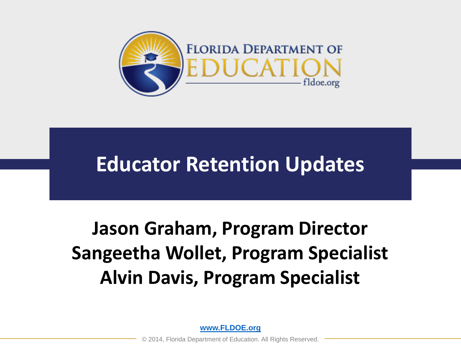

### **Educator Retention Updates**

### **Jason Graham, Program Director Sangeetha Wollet, Program Specialist Alvin Davis, Program Specialist**

**[www.FLDOE.org](http://www.fldoe.org/)**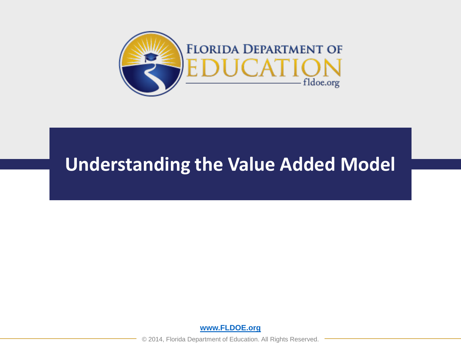

#### **Understanding the Value Added Model**

**[www.FLDOE.org](http://www.fldoe.org/)**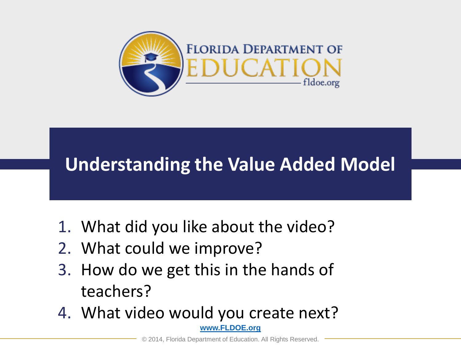

#### **Understanding the Value Added Model**

- 1. What did you like about the video?
- 2. What could we improve?
- 3. How do we get this in the hands of teachers?
- **[www.FLDOE.org](http://www.fldoe.org/)** 4. What video would you create next?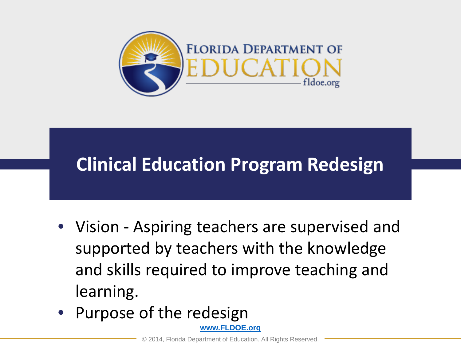

#### **Clinical Education Program Redesign**

- Vision Aspiring teachers are supervised and supported by teachers with the knowledge and skills required to improve teaching and learning.
- Purpose of the redesign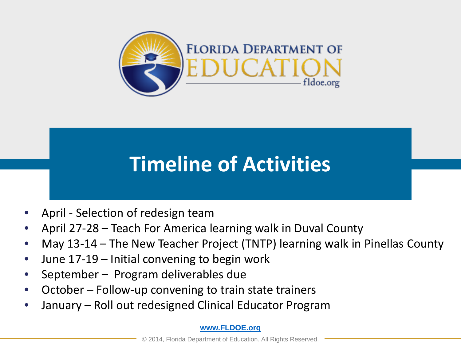

# **Timeline of Activities**

- April Selection of redesign team
- April 27-28 Teach For America learning walk in Duval County
- May 13-14 The New Teacher Project (TNTP) learning walk in Pinellas County
- June 17-19 Initial convening to begin work
- September Program deliverables due
- October Follow-up convening to train state trainers
- January Roll out redesigned Clinical Educator Program

#### **[www.FLDOE.org](http://www.fldoe.org/)**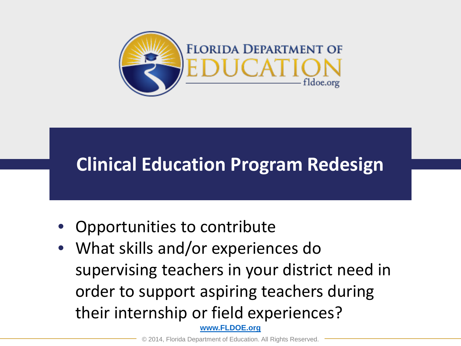

#### **Clinical Education Program Redesign**

- Opportunities to contribute
- **[www.FLDOE.org](http://www.fldoe.org/)** • What skills and/or experiences do supervising teachers in your district need in order to support aspiring teachers during their internship or field experiences?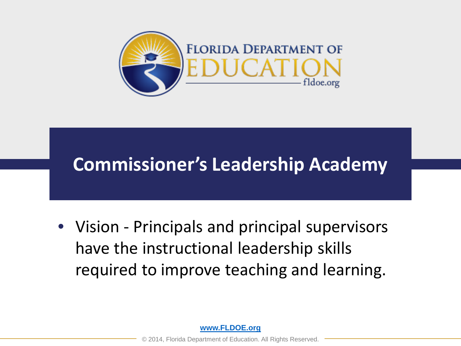

#### **Commissioner's Leadership Academy**

• Vision - Principals and principal supervisors have the instructional leadership skills required to improve teaching and learning.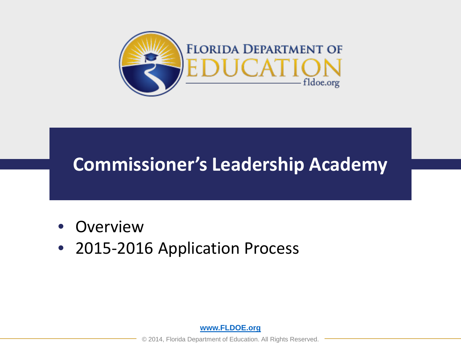

#### **Commissioner's Leadership Academy**

- **Overview**
- 2015-2016 Application Process

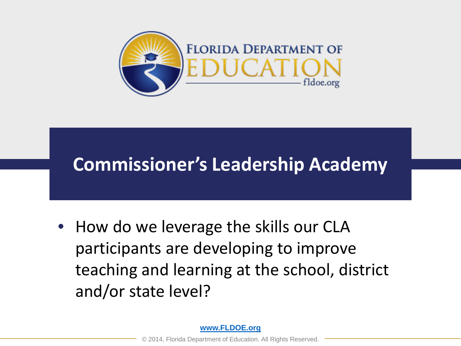

#### **Commissioner's Leadership Academy**

• How do we leverage the skills our CLA participants are developing to improve teaching and learning at the school, district and/or state level?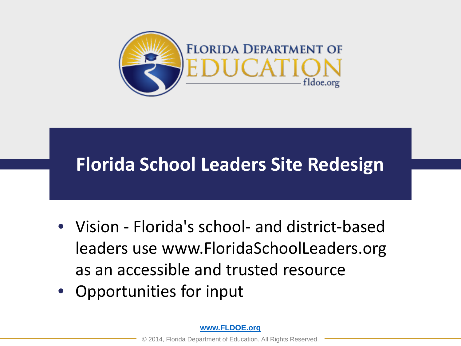

#### **Florida School Leaders Site Redesign**

- Vision Florida's school- and district-based leaders use www.FloridaSchoolLeaders.org as an accessible and trusted resource
- Opportunities for input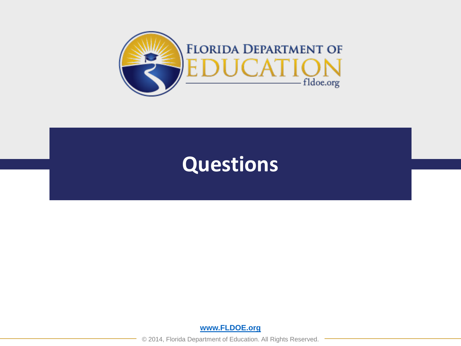

#### **Questions**

**[www.FLDOE.org](http://www.fldoe.org/)**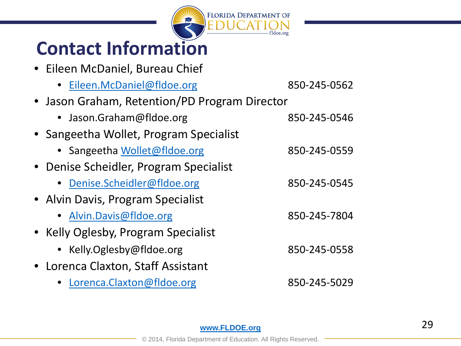

### **Contact Information**

• Eileen McDaniel, Bureau Chief

| • Eileen.McDaniel@fldoe.org                   | 850-245-0562 |  |  |  |  |  |  |
|-----------------------------------------------|--------------|--|--|--|--|--|--|
| • Jason Graham, Retention/PD Program Director |              |  |  |  |  |  |  |
| • Jason.Graham@fldoe.org                      | 850-245-0546 |  |  |  |  |  |  |
| • Sangeetha Wollet, Program Specialist        |              |  |  |  |  |  |  |
| • Sangeetha Wollet@fldoe.org                  | 850-245-0559 |  |  |  |  |  |  |
| • Denise Scheidler, Program Specialist        |              |  |  |  |  |  |  |
| • Denise.Scheidler@fldoe.org                  | 850-245-0545 |  |  |  |  |  |  |
| • Alvin Davis, Program Specialist             |              |  |  |  |  |  |  |
| • Alvin.Davis@fldoe.org                       | 850-245-7804 |  |  |  |  |  |  |
| • Kelly Oglesby, Program Specialist           |              |  |  |  |  |  |  |
| • Kelly.Oglesby@fldoe.org                     | 850-245-0558 |  |  |  |  |  |  |
| • Lorenca Claxton, Staff Assistant            |              |  |  |  |  |  |  |
| Lorenca.Claxton@fldoe.org                     | 850-245-5029 |  |  |  |  |  |  |